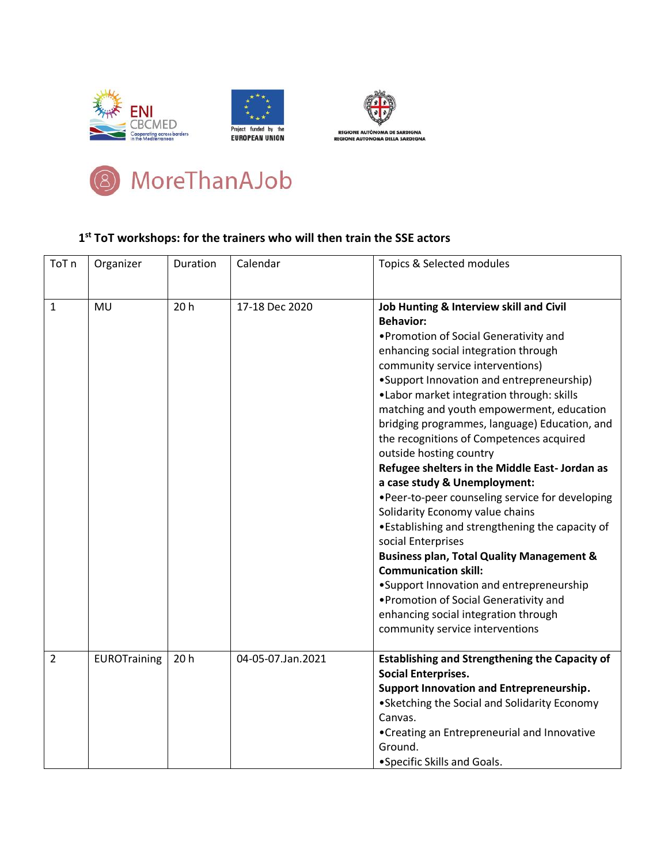







## **1 st ToT workshops: for the trainers who will then train the SSE actors**

| ToT <sub>n</sub> | Organizer    | Duration | Calendar          | Topics & Selected modules                                                                                                                                                                                                                                                                                                                                                                                                                                                                                                                                                                                                                                                                                                                                                                                                                                                                                                                                 |
|------------------|--------------|----------|-------------------|-----------------------------------------------------------------------------------------------------------------------------------------------------------------------------------------------------------------------------------------------------------------------------------------------------------------------------------------------------------------------------------------------------------------------------------------------------------------------------------------------------------------------------------------------------------------------------------------------------------------------------------------------------------------------------------------------------------------------------------------------------------------------------------------------------------------------------------------------------------------------------------------------------------------------------------------------------------|
| 1                | MU           | 20h      | 17-18 Dec 2020    | Job Hunting & Interview skill and Civil<br><b>Behavior:</b><br>• Promotion of Social Generativity and<br>enhancing social integration through<br>community service interventions)<br>•Support Innovation and entrepreneurship)<br>•Labor market integration through: skills<br>matching and youth empowerment, education<br>bridging programmes, language) Education, and<br>the recognitions of Competences acquired<br>outside hosting country<br>Refugee shelters in the Middle East- Jordan as<br>a case study & Unemployment:<br>.Peer-to-peer counseling service for developing<br>Solidarity Economy value chains<br>•Establishing and strengthening the capacity of<br>social Enterprises<br><b>Business plan, Total Quality Management &amp;</b><br><b>Communication skill:</b><br>•Support Innovation and entrepreneurship<br>• Promotion of Social Generativity and<br>enhancing social integration through<br>community service interventions |
| $\overline{2}$   | EUROTraining | 20h      | 04-05-07.Jan.2021 | <b>Establishing and Strengthening the Capacity of</b><br><b>Social Enterprises.</b><br>Support Innovation and Entrepreneurship.<br>• Sketching the Social and Solidarity Economy<br>Canvas.<br>•Creating an Entrepreneurial and Innovative<br>Ground.<br>• Specific Skills and Goals.                                                                                                                                                                                                                                                                                                                                                                                                                                                                                                                                                                                                                                                                     |